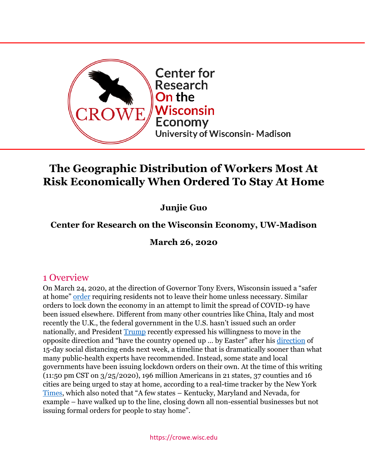

# **The Geographic Distribution of Workers Most At Risk Economically When Ordered To Stay At Home**

**Junjie Guo**

## **Center for Research on the Wisconsin Economy, UW-Madison**

**March 26, 2020**

### 1 Overview

On March 24, 2020, at the direction of Governor Tony Evers, Wisconsin issued a "safer at home" [order](https://content.govdelivery.com/attachments/WIGOV/2020/03/24/file_attachments/1409408/Health%20Order%20%2312%20Safer%20At%20Home.pdf) requiring residents not to leave their home unless necessary. Similar orders to lock down the economy in an attempt to limit the spread of COVID-19 have been issued elsewhere. Different from many other countries like China, Italy and most recently the U.K., the federal government in the U.S. hasn't issued such an order nationally, and President [Trump](https://www.wsj.com/articles/trump-hopes-to-have-u-s-reopened-by-easter-despite-health-experts-guidance-11585073462) recently expressed his willingness to move in the opposite direction and "have the country opened up … by Easter" after his [direction](https://www.whitehouse.gov/wp-content/uploads/2020/03/03.16.20_coronavirus-guidance_8.5x11_315PM.pdf) of 15-day social distancing ends next week, a timeline that is dramatically sooner than what many public-health experts have recommended. Instead, some state and local governments have been issuing lockdown orders on their own. At the time of this writing (11:50 pm CST on 3/25/2020), 196 million Americans in 21 states, 37 counties and 16 cities are being urged to stay at home, according to a real-time tracker by the New York [Times](https://www.nytimes.com/interactive/2020/us/coronavirus-stay-at-home-order.html), which also noted that "A few states – Kentucky, Maryland and Nevada, for example – have walked up to the line, closing down all non-essential businesses but not issuing formal orders for people to stay home".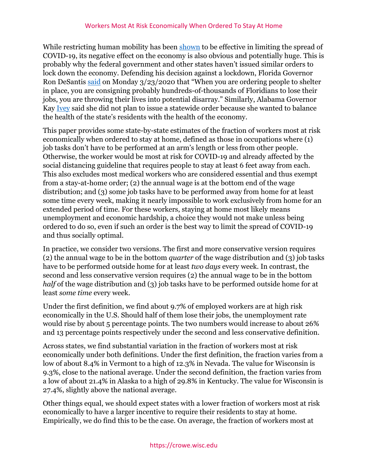While restricting human mobility has been [shown](https://cpb-us-w2.wpmucdn.com/web.sas.upenn.edu/dist/3/517/files/2020/03/COV19__New_Version_Mar_23_final_2.pdf) to be effective in limiting the spread of COVID-19, its negative effect on the economy is also obvious and potentially huge. This is probably why the federal government and other states haven't issued similar orders to lock down the economy. Defending his decision against a lockdown, Florida Governor Ron DeSantis [said](https://www.politico.com/states/florida/story/2020/03/24/dumbest-s-desantis-takes-heat-as-he-goes-his-own-way-on-coronavirus-1268818) on Monday 3/23/2020 that "When you are ordering people to shelter in place, you are consigning probably hundreds-of-thousands of Floridians to lose their jobs, you are throwing their lives into potential disarray." Similarly, Alabama Governor Kay [Ivey](https://www.nytimes.com/interactive/2020/us/coronavirus-stay-at-home-order.html) said she did not plan to issue a statewide order because she wanted to balance the health of the state's residents with the health of the economy.

This paper provides some state-by-state estimates of the fraction of workers most at risk economically when ordered to stay at home, defined as those in occupations where (1) job tasks don't have to be performed at an arm's length or less from other people. Otherwise, the worker would be most at risk for COVID-19 and already affected by the social distancing guideline that requires people to stay at least 6 feet away from each. This also excludes most medical workers who are considered essential and thus exempt from a stay-at-home order; (2) the annual wage is at the bottom end of the wage distribution; and (3) some job tasks have to be performed away from home for at least some time every week, making it nearly impossible to work exclusively from home for an extended period of time. For these workers, staying at home most likely means unemployment and economic hardship, a choice they would not make unless being ordered to do so, even if such an order is the best way to limit the spread of COVID-19 and thus socially optimal.

In practice, we consider two versions. The first and more conservative version requires (2) the annual wage to be in the bottom *quarter* of the wage distribution and (3) job tasks have to be performed outside home for at least *two days* every week. In contrast, the second and less conservative version requires (2) the annual wage to be in the bottom *half* of the wage distribution and (3) job tasks have to be performed outside home for at least *some time* every week.

Under the first definition, we find about 9.7% of employed workers are at high risk economically in the U.S. Should half of them lose their jobs, the unemployment rate would rise by about 5 percentage points. The two numbers would increase to about 26% and 13 percentage points respectively under the second and less conservative definition.

Across states, we find substantial variation in the fraction of workers most at risk economically under both definitions. Under the first definition, the fraction varies from a low of about 8.4% in Vermont to a high of 12.3% in Nevada. The value for Wisconsin is 9.3%, close to the national average. Under the second definition, the fraction varies from a low of about 21.4% in Alaska to a high of 29.8% in Kentucky. The value for Wisconsin is 27.4%, slightly above the national average.

Other things equal, we should expect states with a lower fraction of workers most at risk economically to have a larger incentive to require their residents to stay at home. Empirically, we do find this to be the case. On average, the fraction of workers most at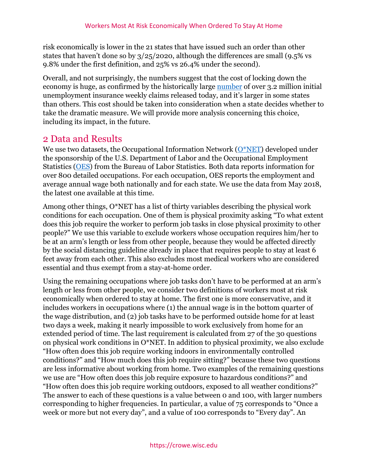risk economically is lower in the 21 states that have issued such an order than other states that haven't done so by 3/25/2020, although the differences are small (9.5% vs 9.8% under the first definition, and 25% vs 26.4% under the second).

Overall, and not surprisingly, the numbers suggest that the cost of locking down the economy is huge, as confirmed by the historically large [number](https://www.dol.gov/ui/data.pdf) of over 3.2 million initial unemployment insurance weekly claims released today, and it's larger in some states than others. This cost should be taken into consideration when a state decides whether to take the dramatic measure. We will provide more analysis concerning this choice, including its impact, in the future.

### 2 Data and Results

We use two datasets, the Occupational Information Network  $(O^*NET)$  developed under the sponsorship of the U.S. Department of Labor and the Occupational Employment Statistics [\(OES\)](https://www.bls.gov/oes/home.htm) from the Bureau of Labor Statistics. Both data reports information for over 800 detailed occupations. For each occupation, OES reports the employment and average annual wage both nationally and for each state. We use the data from May 2018, the latest one available at this time.

Among other things, O\*NET has a list of thirty variables describing the physical work conditions for each occupation. One of them is physical proximity asking "To what extent does this job require the worker to perform job tasks in close physical proximity to other people?" We use this variable to exclude workers whose occupation requires him/her to be at an arm's length or less from other people, because they would be affected directly by the social distancing guideline already in place that requires people to stay at least 6 feet away from each other. This also excludes most medical workers who are considered essential and thus exempt from a stay-at-home order.

Using the remaining occupations where job tasks don't have to be performed at an arm's length or less from other people, we consider two definitions of workers most at risk economically when ordered to stay at home. The first one is more conservative, and it includes workers in occupations where (1) the annual wage is in the bottom quarter of the wage distribution, and (2) job tasks have to be performed outside home for at least two days a week, making it nearly impossible to work exclusively from home for an extended period of time. The last requirement is calculated from 27 of the 30 questions on physical work conditions in O\*NET. In addition to physical proximity, we also exclude "How often does this job require working indoors in environmentally controlled conditions?" and "How much does this job require sitting?" because these two questions are less informative about working from home. Two examples of the remaining questions we use are "How often does this job require exposure to hazardous conditions?" and "How often does this job require working outdoors, exposed to all weather conditions?" The answer to each of these questions is a value between 0 and 100, with larger numbers corresponding to higher frequencies. In particular, a value of 75 corresponds to "Once a week or more but not every day", and a value of 100 corresponds to "Every day". An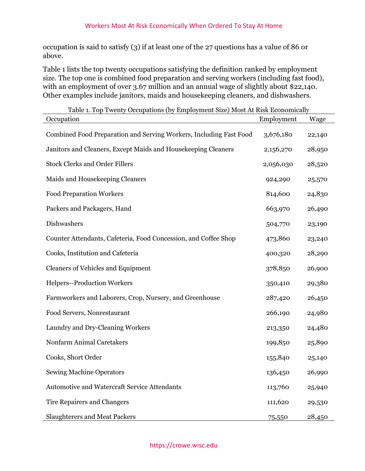occupation is said to satisfy (3) if at least one of the 27 questions has a value of 86 or above.

Table 1 lists the top twenty occupations satisfying the definition ranked by employment size. The top one is combined food preparation and serving workers (including fast food), with an employment of over 3.67 million and an annual wage of slightly about \$22,140. Other examples include janitors, maids and housekeeping cleaners, and dishwashers.

| Table 1. Top Twenty Occupations (by Employment Size) Most At Risk Economically<br>Occupation | Employment | Wage   |
|----------------------------------------------------------------------------------------------|------------|--------|
| Combined Food Preparation and Serving Workers, Including Fast Food                           | 3,676,180  | 22,140 |
| Janitors and Cleaners, Except Maids and Housekeeping Cleaners                                | 2,156,270  | 28,950 |
| <b>Stock Clerks and Order Fillers</b>                                                        | 2,056,030  | 28,520 |
| Maids and Housekeeping Cleaners                                                              | 924,290    | 25,570 |
| <b>Food Preparation Workers</b>                                                              | 814,600    | 24,830 |
| Packers and Packagers, Hand                                                                  | 663,970    | 26,490 |
| Dishwashers                                                                                  | 504,770    | 23,190 |
| Counter Attendants, Cafeteria, Food Concession, and Coffee Shop                              | 473,860    | 23,240 |
| Cooks, Institution and Cafeteria                                                             | 400,320    | 28,290 |
| <b>Cleaners of Vehicles and Equipment</b>                                                    | 378,850    | 26,900 |
| Helpers--Production Workers                                                                  | 350,410    | 29,380 |
| Farmworkers and Laborers, Crop, Nursery, and Greenhouse                                      | 287,420    | 26,450 |
| Food Servers, Nonrestaurant                                                                  | 266,190    | 24,980 |
| Laundry and Dry-Cleaning Workers                                                             | 213,350    | 24,480 |
| Nonfarm Animal Caretakers                                                                    | 199,850    | 25,890 |
| Cooks, Short Order                                                                           | 155,840    | 25,140 |
| <b>Sewing Machine Operators</b>                                                              | 136,450    | 26,990 |
| <b>Automotive and Watercraft Service Attendants</b>                                          | 113,760    | 25,940 |
| <b>Tire Repairers and Changers</b>                                                           | 111,620    | 29,530 |
| <b>Slaughterers and Meat Packers</b>                                                         | 75,550     | 28,450 |

Table 1. Top Twenty Occupations (by Employment Size) Most At Risk Economically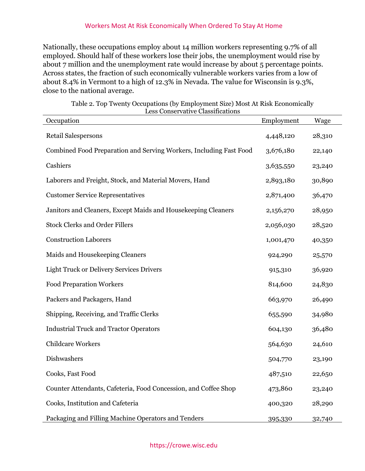#### Workers Most At Risk Economically When Ordered To Stay At Home

Nationally, these occupations employ about 14 million workers representing 9.7% of all employed. Should half of these workers lose their jobs, the unemployment would rise by about 7 million and the unemployment rate would increase by about 5 percentage points. Across states, the fraction of such economically vulnerable workers varies from a low of about 8.4% in Vermont to a high of 12.3% in Nevada. The value for Wisconsin is 9.3%, close to the national average.

| LESS CONSEIVANTE CRESSINGUIONS<br>Occupation                       | Employment | Wage   |
|--------------------------------------------------------------------|------------|--------|
| Retail Salespersons                                                | 4,448,120  | 28,310 |
| Combined Food Preparation and Serving Workers, Including Fast Food | 3,676,180  | 22,140 |
| Cashiers                                                           | 3,635,550  | 23,240 |
| Laborers and Freight, Stock, and Material Movers, Hand             | 2,893,180  | 30,890 |
| <b>Customer Service Representatives</b>                            | 2,871,400  | 36,470 |
| Janitors and Cleaners, Except Maids and Housekeeping Cleaners      | 2,156,270  | 28,950 |
| <b>Stock Clerks and Order Fillers</b>                              | 2,056,030  | 28,520 |
| <b>Construction Laborers</b>                                       | 1,001,470  | 40,350 |
| Maids and Housekeeping Cleaners                                    | 924,290    | 25,570 |
| <b>Light Truck or Delivery Services Drivers</b>                    | 915,310    | 36,920 |
| <b>Food Preparation Workers</b>                                    | 814,600    | 24,830 |
| Packers and Packagers, Hand                                        | 663,970    | 26,490 |
| Shipping, Receiving, and Traffic Clerks                            | 655,590    | 34,980 |
| <b>Industrial Truck and Tractor Operators</b>                      | 604,130    | 36,480 |
| <b>Childcare Workers</b>                                           | 564,630    | 24,610 |
| Dishwashers                                                        | 504,770    | 23,190 |
| Cooks, Fast Food                                                   | 487,510    | 22,650 |
| Counter Attendants, Cafeteria, Food Concession, and Coffee Shop    | 473,860    | 23,240 |
| Cooks, Institution and Cafeteria                                   | 400,320    | 28,290 |
| Packaging and Filling Machine Operators and Tenders                | 395,330    | 32,740 |

Table 2. Top Twenty Occupations (by Employment Size) Most At Risk Economically Less Conservative Classifications

#### https://crowe.wisc.edu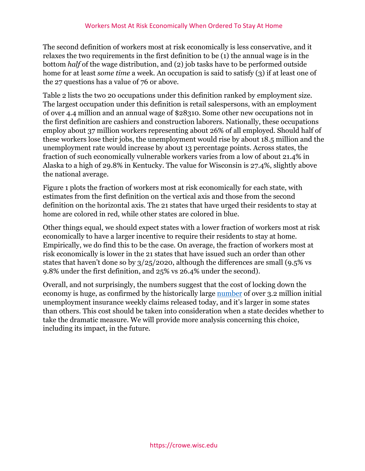The second definition of workers most at risk economically is less conservative, and it relaxes the two requirements in the first definition to be (1) the annual wage is in the bottom *half* of the wage distribution, and (2) job tasks have to be performed outside home for at least *some time* a week. An occupation is said to satisfy (3) if at least one of the 27 questions has a value of 76 or above.

Table 2 lists the two 20 occupations under this definition ranked by employment size. The largest occupation under this definition is retail salespersons, with an employment of over 4.4 million and an annual wage of \$28310. Some other new occupations not in the first definition are cashiers and construction laborers. Nationally, these occupations employ about 37 million workers representing about 26% of all employed. Should half of these workers lose their jobs, the unemployment would rise by about 18.5 million and the unemployment rate would increase by about 13 percentage points. Across states, the fraction of such economically vulnerable workers varies from a low of about 21.4% in Alaska to a high of 29.8% in Kentucky. The value for Wisconsin is 27.4%, slightly above the national average.

Figure 1 plots the fraction of workers most at risk economically for each state, with estimates from the first definition on the vertical axis and those from the second definition on the horizontal axis. The 21 states that have urged their residents to stay at home are colored in red, while other states are colored in blue.

Other things equal, we should expect states with a lower fraction of workers most at risk economically to have a larger incentive to require their residents to stay at home. Empirically, we do find this to be the case. On average, the fraction of workers most at risk economically is lower in the 21 states that have issued such an order than other states that haven't done so by 3/25/2020, although the differences are small (9.5% vs 9.8% under the first definition, and 25% vs 26.4% under the second).

Overall, and not surprisingly, the numbers suggest that the cost of locking down the economy is huge, as confirmed by the historically large [number](https://www.dol.gov/ui/data.pdf) of over 3.2 million initial unemployment insurance weekly claims released today, and it's larger in some states than others. This cost should be taken into consideration when a state decides whether to take the dramatic measure. We will provide more analysis concerning this choice, including its impact, in the future.